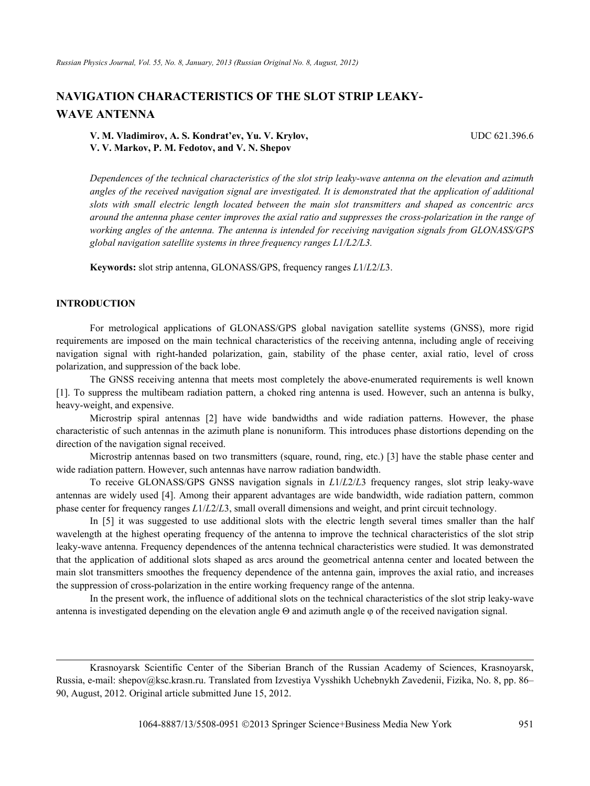# **NAVIGATION CHARACTERISTICS OF THE SLOT STRIP LEAKY-WAVE ANTENNA**

**V. M. Vladimirov, A. S. Kondrat'ev, Yu. V. Krylov,** UDC 621.396.6 **V. V. Markov, P. M. Fedotov, and V. N. Shepov** 

*Dependences of the technical characteristics of the slot strip leaky-wave antenna on the elevation and azimuth angles of the received navigation signal are investigated. It is demonstrated that the application of additional slots with small electric length located between the main slot transmitters and shaped as concentric arcs around the antenna phase center improves the axial ratio and suppresses the cross-polarization in the range of working angles of the antenna. The antenna is intended for receiving navigation signals from GLONASS/GPS global navigation satellite systems in three frequency ranges L1/L2/L3.* 

**Keywords:** slot strip antenna, GLONASS/GPS, frequency ranges *L*1/*L*2/*L*3.

# **INTRODUCTION**

For metrological applications of GLONASS/GPS global navigation satellite systems (GNSS), more rigid requirements are imposed on the main technical characteristics of the receiving antenna, including angle of receiving navigation signal with right-handed polarization, gain, stability of the phase center, axial ratio, level of cross polarization, and suppression of the back lobe.

The GNSS receiving antenna that meets most completely the above-enumerated requirements is well known [1]. To suppress the multibeam radiation pattern, a choked ring antenna is used. However, such an antenna is bulky, heavy-weight, and expensive.

Microstrip spiral antennas [2] have wide bandwidths and wide radiation patterns. However, the phase characteristic of such antennas in the azimuth plane is nonuniform. This introduces phase distortions depending on the direction of the navigation signal received.

Microstrip antennas based on two transmitters (square, round, ring, etc.) [3] have the stable phase center and wide radiation pattern. However, such antennas have narrow radiation bandwidth.

To receive GLONASS/GPS GNSS navigation signals in *L*1/*L*2/*L*3 frequency ranges, slot strip leaky-wave antennas are widely used [4]. Among their apparent advantages are wide bandwidth, wide radiation pattern, common phase center for frequency ranges *L*1/*L*2/*L*3, small overall dimensions and weight, and print circuit technology.

In [5] it was suggested to use additional slots with the electric length several times smaller than the half wavelength at the highest operating frequency of the antenna to improve the technical characteristics of the slot strip leaky-wave antenna. Frequency dependences of the antenna technical characteristics were studied. It was demonstrated that the application of additional slots shaped as arcs around the geometrical antenna center and located between the main slot transmitters smoothes the frequency dependence of the antenna gain, improves the axial ratio, and increases the suppression of cross-polarization in the entire working frequency range of the antenna.

In the present work, the influence of additional slots on the technical characteristics of the slot strip leaky-wave antenna is investigated depending on the elevation angle  $\Theta$  and azimuth angle  $\phi$  of the received navigation signal.

Krasnoyarsk Scientific Center of the Siberian Branch of the Russian Academy of Sciences, Krasnoyarsk, Russia, e-mail: shepov@ksc.krasn.ru. Translated from Izvestiya Vysshikh Uchebnykh Zavedenii, Fizika, No. 8, pp. 86– 90, August, 2012. Original article submitted June 15, 2012.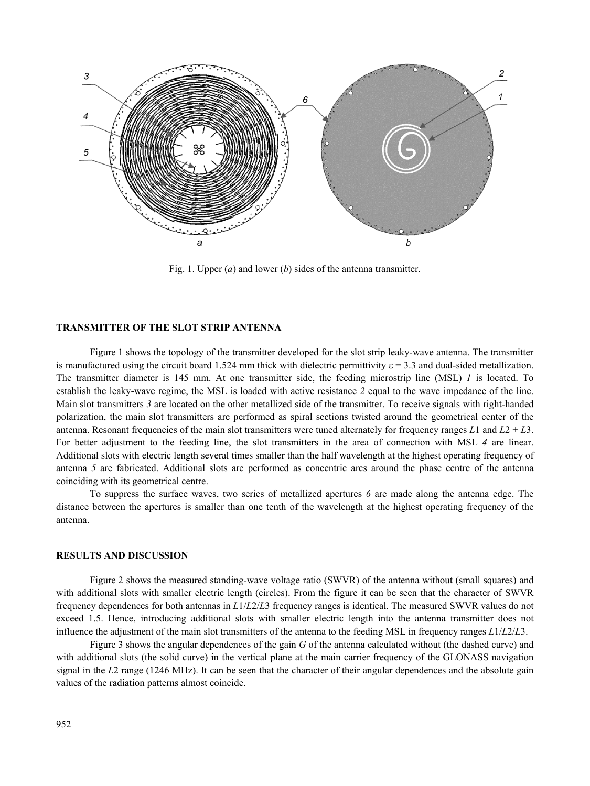

Fig. 1. Upper (*a*) and lower (*b*) sides of the antenna transmitter.

# **TRANSMITTER OF THE SLOT STRIP ANTENNA**

Figure 1 shows the topology of the transmitter developed for the slot strip leaky-wave antenna. The transmitter is manufactured using the circuit board 1.524 mm thick with dielectric permittivity  $\varepsilon = 3.3$  and dual-sided metallization. The transmitter diameter is 145 mm. At one transmitter side, the feeding microstrip line (MSL) *1* is located. To establish the leaky-wave regime, the MSL is loaded with active resistance *2* equal to the wave impedance of the line. Main slot transmitters *3* are located on the other metallized side of the transmitter. To receive signals with right-handed polarization, the main slot transmitters are performed as spiral sections twisted around the geometrical center of the antenna. Resonant frequencies of the main slot transmitters were tuned alternately for frequency ranges  $L1$  and  $L2 + L3$ . For better adjustment to the feeding line, the slot transmitters in the area of connection with MSL *4* are linear. Additional slots with electric length several times smaller than the half wavelength at the highest operating frequency of antenna *5* are fabricated. Additional slots are performed as concentric arcs around the phase centre of the antenna coinciding with its geometrical centre.

To suppress the surface waves, two series of metallized apertures *6* are made along the antenna edge. The distance between the apertures is smaller than one tenth of the wavelength at the highest operating frequency of the antenna.

#### **RESULTS AND DISCUSSION**

Figure 2 shows the measured standing-wave voltage ratio (SWVR) of the antenna without (small squares) and with additional slots with smaller electric length (circles). From the figure it can be seen that the character of SWVR frequency dependences for both antennas in *L*1/*L*2/*L*3 frequency ranges is identical. The measured SWVR values do not exceed 1.5. Hence, introducing additional slots with smaller electric length into the antenna transmitter does not influence the adjustment of the main slot transmitters of the antenna to the feeding MSL in frequency ranges *L*1/*L*2/*L*3.

Figure 3 shows the angular dependences of the gain *G* of the antenna calculated without (the dashed curve) and with additional slots (the solid curve) in the vertical plane at the main carrier frequency of the GLONASS navigation signal in the *L*2 range (1246 MHz). It can be seen that the character of their angular dependences and the absolute gain values of the radiation patterns almost coincide.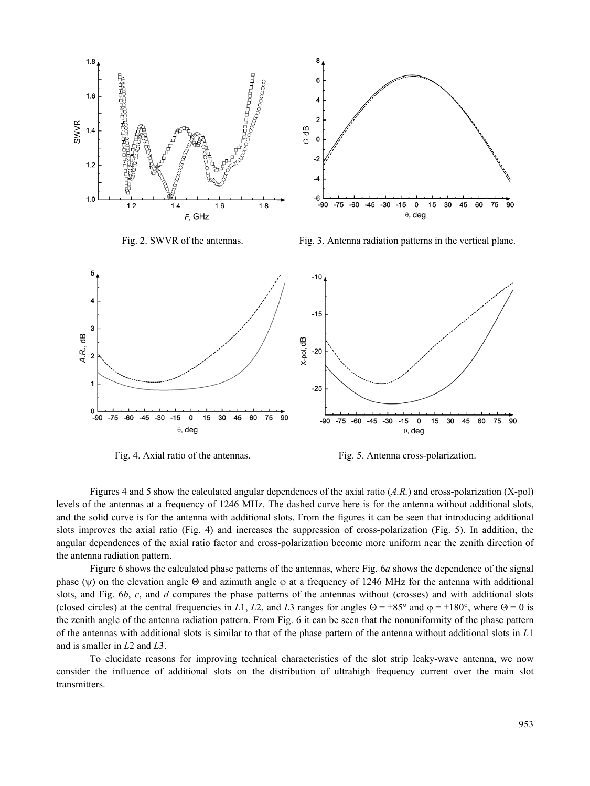

Fig. 4. Axial ratio of the antennas. Fig. 5. Antenna cross-polarization.

Figures 4 and 5 show the calculated angular dependences of the axial ratio (*A.R.*) and cross-polarization (X-pol) levels of the antennas at a frequency of 1246 MHz. The dashed curve here is for the antenna without additional slots, and the solid curve is for the antenna with additional slots. From the figures it can be seen that introducing additional slots improves the axial ratio (Fig. 4) and increases the suppression of cross-polarization (Fig. 5). In addition, the angular dependences of the axial ratio factor and cross-polarization become more uniform near the zenith direction of the antenna radiation pattern.

Figure 6 shows the calculated phase patterns of the antennas, where Fig. 6*a* shows the dependence of the signal phase ( $\psi$ ) on the elevation angle  $\Theta$  and azimuth angle  $\phi$  at a frequency of 1246 MHz for the antenna with additional slots, and Fig. 6*b*, *c*, and *d* compares the phase patterns of the antennas without (crosses) and with additional slots (closed circles) at the central frequencies in *L*1, *L*2, and *L*3 ranges for angles  $\Theta = \pm 85^{\circ}$  and  $\varphi = \pm 180^{\circ}$ , where  $\Theta = 0$  is the zenith angle of the antenna radiation pattern. From Fig. 6 it can be seen that the nonuniformity of the phase pattern of the antennas with additional slots is similar to that of the phase pattern of the antenna without additional slots in *L*1 and is smaller in *L*2 and *L*3.

To elucidate reasons for improving technical characteristics of the slot strip leaky-wave antenna, we now consider the influence of additional slots on the distribution of ultrahigh frequency current over the main slot transmitters.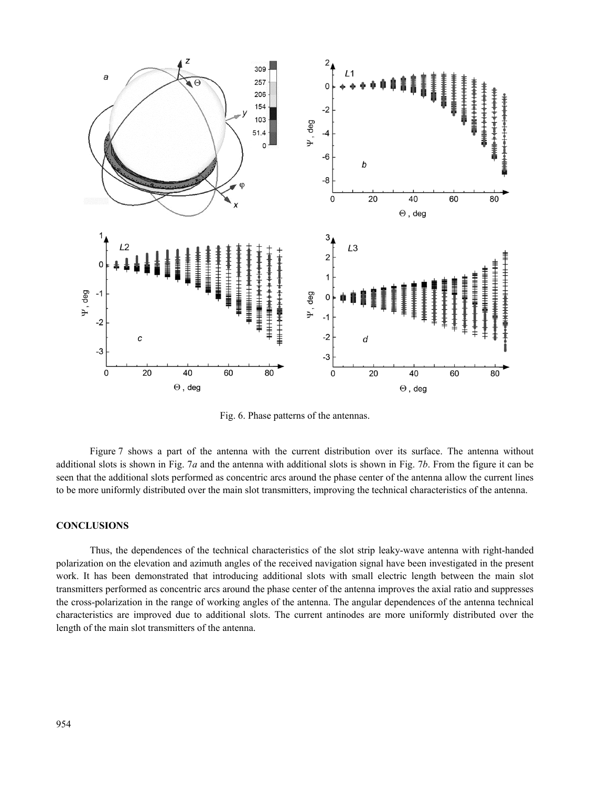

Fig. 6. Phase patterns of the antennas.

Figure 7 shows a part of the antenna with the current distribution over its surface. The antenna without additional slots is shown in Fig. 7*a* and the antenna with additional slots is shown in Fig. 7*b*. From the figure it can be seen that the additional slots performed as concentric arcs around the phase center of the antenna allow the current lines to be more uniformly distributed over the main slot transmitters, improving the technical characteristics of the antenna.

### **CONCLUSIONS**

Thus, the dependences of the technical characteristics of the slot strip leaky-wave antenna with right-handed polarization on the elevation and azimuth angles of the received navigation signal have been investigated in the present work. It has been demonstrated that introducing additional slots with small electric length between the main slot transmitters performed as concentric arcs around the phase center of the antenna improves the axial ratio and suppresses the cross-polarization in the range of working angles of the antenna. The angular dependences of the antenna technical characteristics are improved due to additional slots. The current antinodes are more uniformly distributed over the length of the main slot transmitters of the antenna.